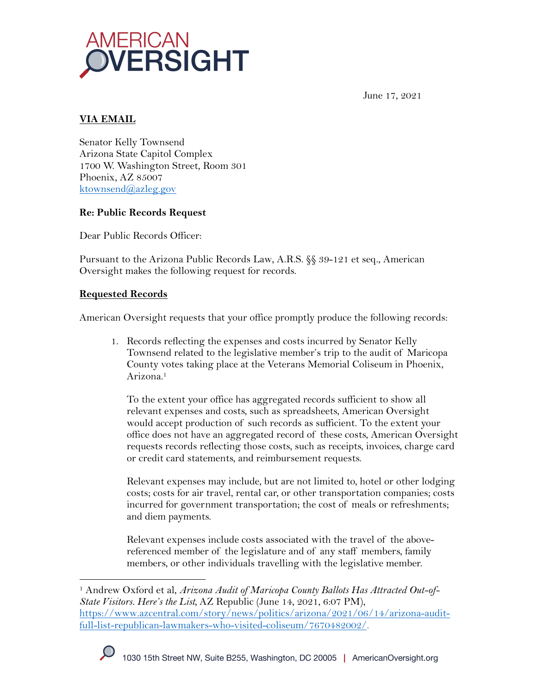

June 17, 2021

## **VIA EMAIL**

Senator Kelly Townsend Arizona State Capitol Complex 1700 W. Washington Street, Room 301 Phoenix, AZ 85007 ktownsend@azleg.gov

#### **Re: Public Records Request**

Dear Public Records Officer:

Pursuant to the Arizona Public Records Law, A.R.S. §§ 39-121 et seq., American Oversight makes the following request for records.

#### **Requested Records**

American Oversight requests that your office promptly produce the following records:

1. Records reflecting the expenses and costs incurred by Senator Kelly Townsend related to the legislative member's trip to the audit of Maricopa County votes taking place at the Veterans Memorial Coliseum in Phoenix, Arizona.1

To the extent your office has aggregated records sufficient to show all relevant expenses and costs, such as spreadsheets, American Oversight would accept production of such records as sufficient. To the extent your office does not have an aggregated record of these costs, American Oversight requests records reflecting those costs, such as receipts, invoices, charge card or credit card statements, and reimbursement requests.

Relevant expenses may include, but are not limited to, hotel or other lodging costs; costs for air travel, rental car, or other transportation companies; costs incurred for government transportation; the cost of meals or refreshments; and diem payments.

Relevant expenses include costs associated with the travel of the abovereferenced member of the legislature and of any staff members, family members, or other individuals travelling with the legislative member.

<sup>1</sup> Andrew Oxford et al, *Arizona Audit of Maricopa County Ballots Has Attracted Out-of-State Visitors. Here's the List,* AZ Republic (June 14, 2021, 6:07 PM), https://www.azcentral.com/story/news/politics/arizona/2021/06/14/arizona-auditfull-list-republican-lawmakers-who-visited-coliseum/7670482002/.

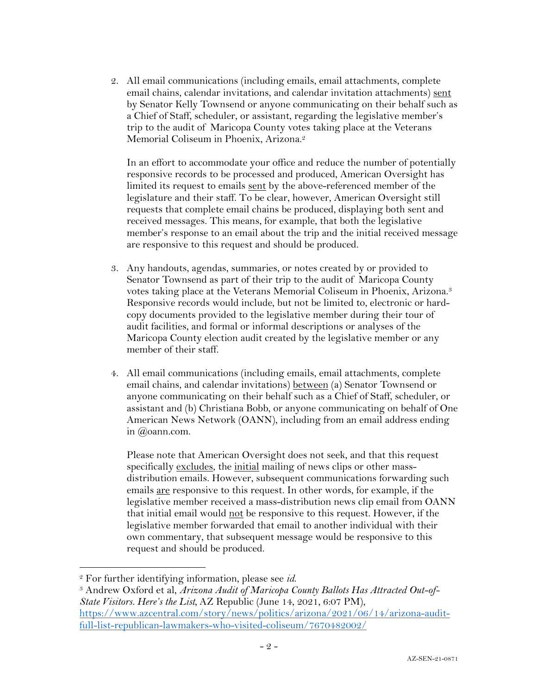2. All email communications (including emails, email attachments, complete email chains, calendar invitations, and calendar invitation attachments) sent by Senator Kelly Townsend or anyone communicating on their behalf such as a Chief of Staff, scheduler, or assistant, regarding the legislative member's trip to the audit of Maricopa County votes taking place at the Veterans Memorial Coliseum in Phoenix, Arizona.<sup>2</sup>

In an effort to accommodate your office and reduce the number of potentially responsive records to be processed and produced, American Oversight has limited its request to emails sent by the above-referenced member of the legislature and their staff. To be clear, however, American Oversight still requests that complete email chains be produced, displaying both sent and received messages. This means, for example, that both the legislative member's response to an email about the trip and the initial received message are responsive to this request and should be produced.

- 3. Any handouts, agendas, summaries, or notes created by or provided to Senator Townsend as part of their trip to the audit of Maricopa County votes taking place at the Veterans Memorial Coliseum in Phoenix, Arizona.<sup>3</sup> Responsive records would include, but not be limited to, electronic or hardcopy documents provided to the legislative member during their tour of audit facilities, and formal or informal descriptions or analyses of the Maricopa County election audit created by the legislative member or any member of their staff.
- 4. All email communications (including emails, email attachments, complete email chains, and calendar invitations) between (a) Senator Townsend or anyone communicating on their behalf such as a Chief of Staff, scheduler, or assistant and (b) Christiana Bobb, or anyone communicating on behalf of One American News Network (OANN), including from an email address ending in @oann.com.

Please note that American Oversight does not seek, and that this request specifically excludes, the initial mailing of news clips or other massdistribution emails. However, subsequent communications forwarding such emails are responsive to this request. In other words, for example, if the legislative member received a mass-distribution news clip email from OANN that initial email would not be responsive to this request. However, if the legislative member forwarded that email to another individual with their own commentary, that subsequent message would be responsive to this request and should be produced.

<sup>&</sup>lt;sup>2</sup> For further identifying information, please see *id.*<br><sup>3</sup> Andrew Oxford et al, *Arizona Audit of Maricopa County Ballots Has Attracted Out-of-State Visitors. Here's the List,* AZ Republic (June 14, 2021, 6:07 PM), https://www.azcentral.com/story/news/politics/arizona/2021/06/14/arizona-auditfull-list-republican-lawmakers-who-visited-coliseum/7670482002/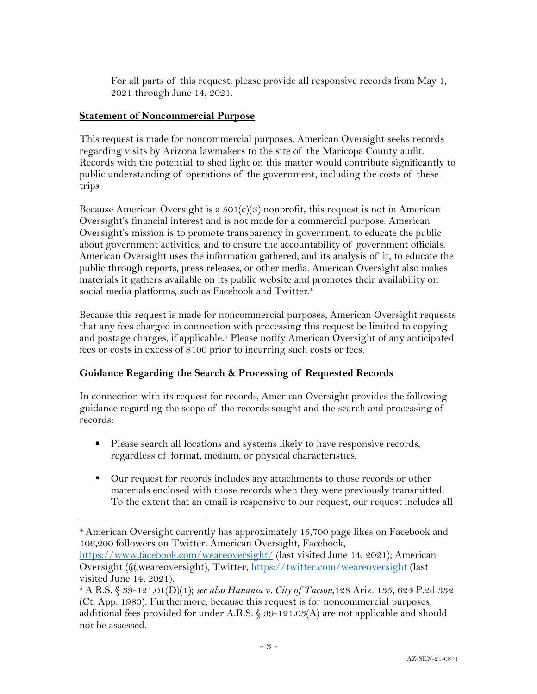For all parts of this request, please provide all responsive records from May 1, 2021 through June 14, 2021.

#### **Statement of Noncommercial Purpose**

This request is made for noncommercial purposes. American Oversight seeks records regarding visits by Arizona lawmakers to the site of the Maricopa County audit. Records with the potential to shed light on this matter would contribute significantly to public understanding of operations of the government, including the costs of these trips.

Because American Oversight is a  $501(c)(3)$  nonprofit, this request is not in American Oversight's financial interest and is not made for a commercial purpose. American Oversight's mission is to promote transparency in government, to educate the public about government activities, and to ensure the accountability of government officials. American Oversight uses the information gathered, and its analysis of it, to educate the public through reports, press releases, or other media. American Oversight also makes materials it gathers available on its public website and promotes their availability on social media platforms, such as Facebook and Twitter.<sup>4</sup>

Because this request is made for noncommercial purposes, American Oversight requests that any fees charged in connection with processing this request be limited to copying and postage charges, if applicable.<sup>5</sup> Please notify American Oversight of any anticipated fees or costs in excess of \$100 prior to incurring such costs or fees.

## **Guidance Regarding the Search & Processing of Requested Records**

In connection with its request for records, American Oversight provides the following guidance regarding the scope of the records sought and the search and processing of records:

- Please search all locations and systems likely to have responsive records, regardless of format, medium, or physical characteristics.
- Our request for records includes any attachments to those records or other materials enclosed with those records when they were previously transmitted. To the extent that an email is responsive to our request, our request includes all

https://www.facebook.com/weareoversight/ (last visited June 14, 2021); American Oversight (@weareoversight), Twitter, https://twitter.com/weareoversight (last visited June 14, 2021).

<sup>4</sup> American Oversight currently has approximately 15,700 page likes on Facebook and 106,200 followers on Twitter. American Oversight, Facebook,

<sup>5</sup> A.R.S. § 39-121.01(D)(1); *see also Hanania v. City of Tucson*,128 Ariz. 135, 624 P.2d 332 (Ct. App. 1980). Furthermore, because this request is for noncommercial purposes, additional fees provided for under A.R.S. § 39-121.03(A) are not applicable and should not be assessed.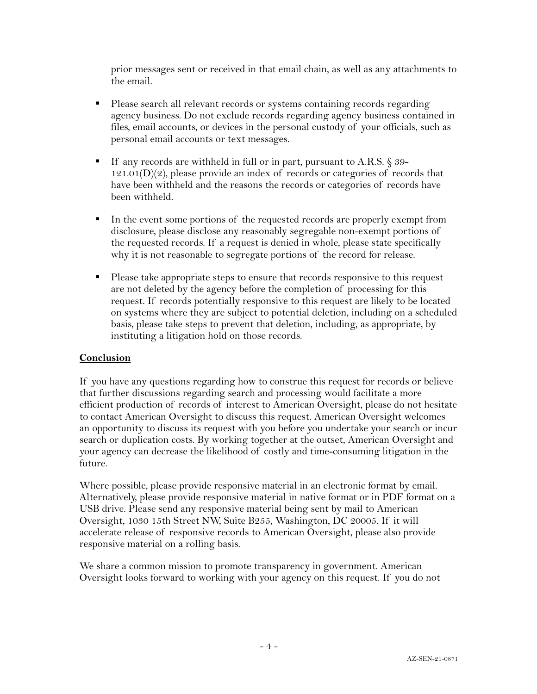prior messages sent or received in that email chain, as well as any attachments to the email.

- Please search all relevant records or systems containing records regarding agency business. Do not exclude records regarding agency business contained in files, email accounts, or devices in the personal custody of your officials, such as personal email accounts or text messages.
- If any records are withheld in full or in part, pursuant to A.R.S. § 39- $121.01(D)(2)$ , please provide an index of records or categories of records that have been withheld and the reasons the records or categories of records have been withheld.
- In the event some portions of the requested records are properly exempt from disclosure, please disclose any reasonably segregable non-exempt portions of the requested records. If a request is denied in whole, please state specifically why it is not reasonable to segregate portions of the record for release.
- Please take appropriate steps to ensure that records responsive to this request are not deleted by the agency before the completion of processing for this request. If records potentially responsive to this request are likely to be located on systems where they are subject to potential deletion, including on a scheduled basis, please take steps to prevent that deletion, including, as appropriate, by instituting a litigation hold on those records.

## **Conclusion**

If you have any questions regarding how to construe this request for records or believe that further discussions regarding search and processing would facilitate a more efficient production of records of interest to American Oversight, please do not hesitate to contact American Oversight to discuss this request. American Oversight welcomes an opportunity to discuss its request with you before you undertake your search or incur search or duplication costs. By working together at the outset, American Oversight and your agency can decrease the likelihood of costly and time-consuming litigation in the future.

Where possible, please provide responsive material in an electronic format by email. Alternatively, please provide responsive material in native format or in PDF format on a USB drive. Please send any responsive material being sent by mail to American Oversight, 1030 15th Street NW, Suite B255, Washington, DC 20005. If it will accelerate release of responsive records to American Oversight, please also provide responsive material on a rolling basis.

We share a common mission to promote transparency in government. American Oversight looks forward to working with your agency on this request. If you do not